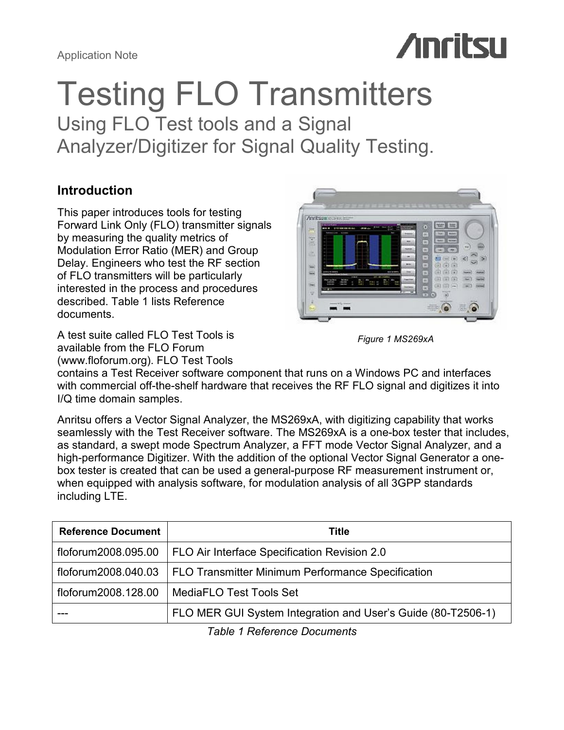# **Anritsu**

# Testing FLO Transmitters

Using FLO Test tools and a Signal Analyzer/Digitizer for Signal Quality Testing.

# Introduction

This paper introduces tools for testing Forward Link Only (FLO) transmitter signals by measuring the quality metrics of Modulation Error Ratio (MER) and Group Delay. Engineers who test the RF section of FLO transmitters will be particularly interested in the process and procedures described. Table 1 lists Reference documents.

A test suite called FLO Test Tools is available from the FLO Forum (www.floforum.org). FLO Test Tools





contains a Test Receiver software component that runs on a Windows PC and interfaces with commercial off-the-shelf hardware that receives the RF FLO signal and digitizes it into I/Q time domain samples.

Anritsu offers a Vector Signal Analyzer, the MS269xA, with digitizing capability that works seamlessly with the Test Receiver software. The MS269xA is a one-box tester that includes, as standard, a swept mode Spectrum Analyzer, a FFT mode Vector Signal Analyzer, and a high-performance Digitizer. With the addition of the optional Vector Signal Generator a onebox tester is created that can be used a general-purpose RF measurement instrument or, when equipped with analysis software, for modulation analysis of all 3GPP standards including LTE.

| <b>Reference Document</b> | Title                                                        |  |
|---------------------------|--------------------------------------------------------------|--|
| floforum2008.095.00       | FLO Air Interface Specification Revision 2.0                 |  |
| floforum2008.040.03       | <b>FLO Transmitter Minimum Performance Specification</b>     |  |
| floforum2008.128.00       | MediaFLO Test Tools Set                                      |  |
|                           | FLO MER GUI System Integration and User's Guide (80-T2506-1) |  |

Table 1 Reference Documents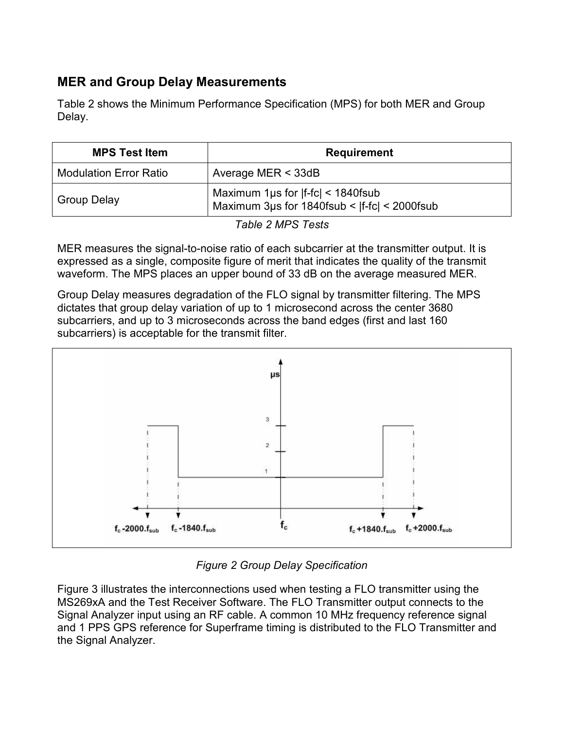# MER and Group Delay Measurements

Table 2 shows the Minimum Performance Specification (MPS) for both MER and Group Delay.

| <b>MPS Test Item</b>          | <b>Requirement</b>                                                                         |  |
|-------------------------------|--------------------------------------------------------------------------------------------|--|
| <b>Modulation Error Ratio</b> | Average MER $<$ 33dB                                                                       |  |
| <b>Group Delay</b>            | Maximum 1 $\mu s$ for $ f-fc  < 1840$ fsub<br>Maximum 3us for 1840fsub <  f-fc  < 2000fsub |  |

Table 2 MPS Tests

MER measures the signal-to-noise ratio of each subcarrier at the transmitter output. It is expressed as a single, composite figure of merit that indicates the quality of the transmit waveform. The MPS places an upper bound of 33 dB on the average measured MER.

Group Delay measures degradation of the FLO signal by transmitter filtering. The MPS dictates that group delay variation of up to 1 microsecond across the center 3680 subcarriers, and up to 3 microseconds across the band edges (first and last 160 subcarriers) is acceptable for the transmit filter.



Figure 2 Group Delay Specification

Figure 3 illustrates the interconnections used when testing a FLO transmitter using the MS269xA and the Test Receiver Software. The FLO Transmitter output connects to the Signal Analyzer input using an RF cable. A common 10 MHz frequency reference signal and 1 PPS GPS reference for Superframe timing is distributed to the FLO Transmitter and the Signal Analyzer.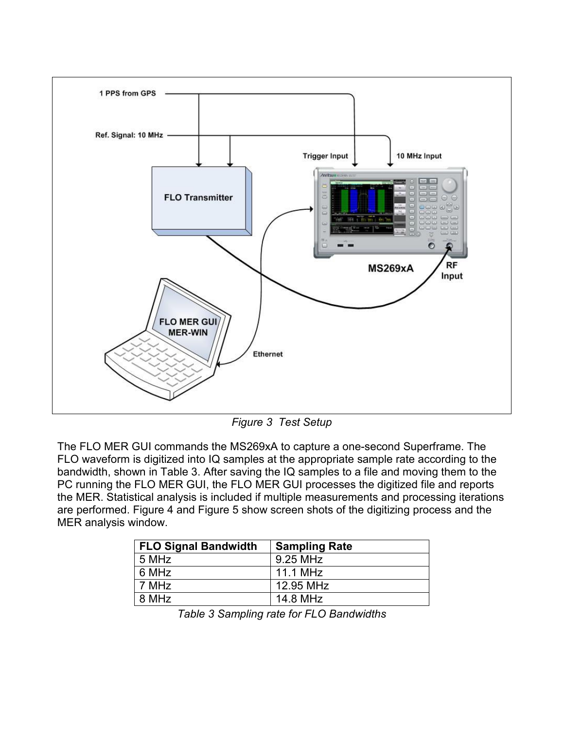

Figure 3 Test Setup

The FLO MER GUI commands the MS269xA to capture a one-second Superframe. The FLO waveform is digitized into IQ samples at the appropriate sample rate according to the bandwidth, shown in Table 3. After saving the IQ samples to a file and moving them to the PC running the FLO MER GUI, the FLO MER GUI processes the digitized file and reports the MER. Statistical analysis is included if multiple measurements and processing iterations are performed. Figure 4 and Figure 5 show screen shots of the digitizing process and the MER analysis window.

| <b>FLO Signal Bandwidth</b> | <b>Sampling Rate</b> |
|-----------------------------|----------------------|
| 5 MHz                       | 9.25 MHz             |
| 6 MHz                       | 11.1 MHz             |
| 7 MHz                       | 12.95 MHz            |
| 8 MHz                       | 14.8 MHz             |

Table 3 Sampling rate for FLO Bandwidths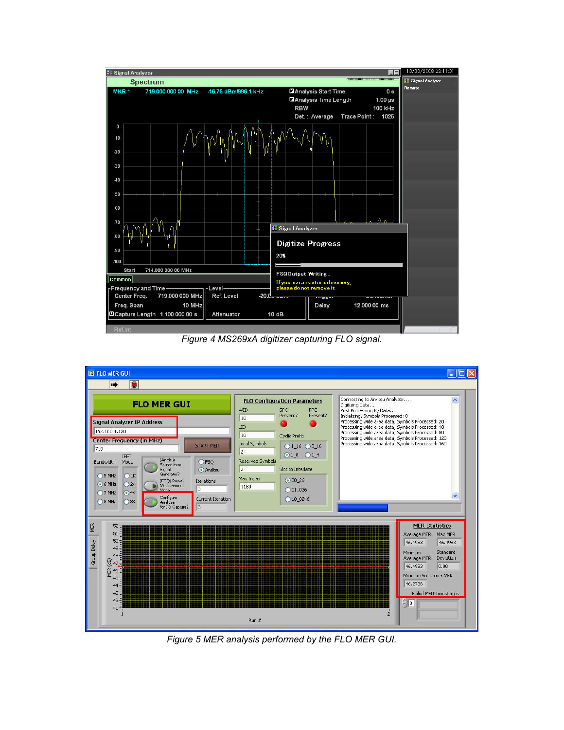

Figure 4 MS269xA digitizer capturing FLO signal.



Figure 5 MER analysis performed by the FLO MER GUI.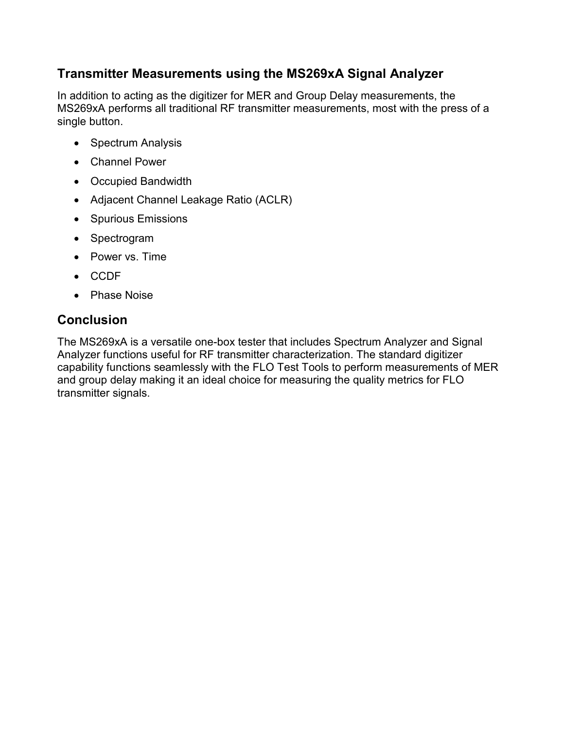# Transmitter Measurements using the MS269xA Signal Analyzer

In addition to acting as the digitizer for MER and Group Delay measurements, the MS269xA performs all traditional RF transmitter measurements, most with the press of a single button.

- Spectrum Analysis
- Channel Power
- Occupied Bandwidth
- Adjacent Channel Leakage Ratio (ACLR)
- Spurious Emissions
- Spectrogram
- Power vs. Time
- CCDF
- Phase Noise

# Conclusion

The MS269xA is a versatile one-box tester that includes Spectrum Analyzer and Signal Analyzer functions useful for RF transmitter characterization. The standard digitizer capability functions seamlessly with the FLO Test Tools to perform measurements of MER and group delay making it an ideal choice for measuring the quality metrics for FLO transmitter signals.